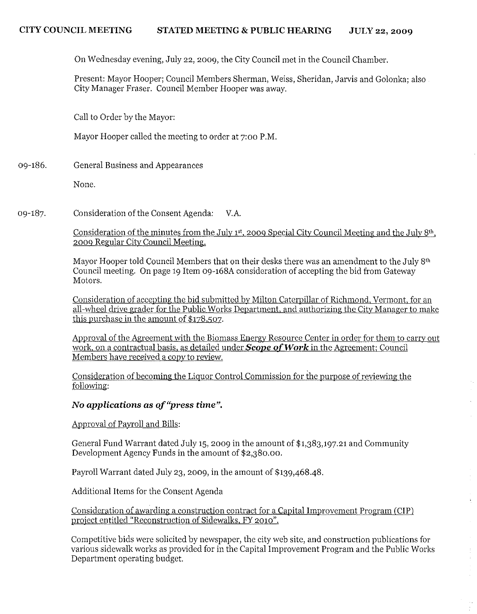**On** Wednesday evening, July 22,2009, the City Council met in the Council Chamber.

Present: Mayor Hooper; Council Members Sherman, Weiss, Sheridan, Jarvis and Golonka; also City Manager Fraser. Council Member Hooper was away.

Call to Order by the Mayor:

Mayor Hooper called the meeting to order at 7:00 P.M.

09-186. General Business and Appearances

None.

Consideration of the Consent Agenda: V.A. 09-187.

> Consideration of the minutes from the July  $1<sup>st</sup>$ , 2009 Special City Council Meeting and the July  $8<sup>th</sup>$ , 2009 Regular City Council Meeting.

Mayor Hooper told Council Members that on their desks there was an amendment to the July 8th Council meeting. On page 19 Item 09-168A consideration of accepting the bid from Gateway Motors.

Consideration of accepting the bid submitted by Milton Caterpillar of Richmond, Vermont. for an all-wheel drive grader for the Public Works Department. and authorizing the City Manager to make this purchase in the amount of \$178,507.

Approval of the Agreement with the Biomass Energy Resource Center in order for them to carry out work, on a contractual basis, as detailed under **Scope of Work** in the Agreement: Council Members have received a copy to review.

Consideration of becoming the Liquor Control Commission for the purpose of reviewing the following:

# **No** *applications* **as** *of "press time".*

Approval of Payroll and Bills:

General Fund Warrant dated July 15, 2009 in the amount of \$1,383,197.21 and Community Development Agency Funds in the amount of \$2,380.00.

Payroll Warrant dated July 23, 2009, in the amount of  $$139,468.48$ .

Additional Items for the Consent Agenda

Consideration of awarding a construction contract for a Capital Improvement Program (CIP) project entitled "Reconstruction of Sidewalks, FY 2010",

Competitive bids were solicited by newspaper, the city web site, and construction publications for various sidewalk works as provided for in the Capital Improvement Program and the Public Works Department operating budget.

 $\mathbf{r}$ 

 $\bar{\omega}$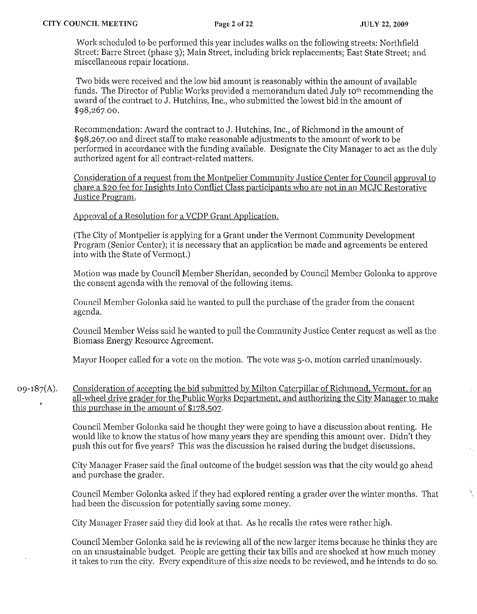Work scheduled to be performed this year includes walks on the following streets: Northfield Street; Barre Street (phase 3); Main Street, including brick replacements; East State Street; and miscellaneous repair locations.

Two bids were received and the low bid amount is reasonably within the amount of available funds. The Director of Public Works provided a memorandum dated July 10th recommending the award of the contract to J. Hutchins, Inc., who submitted the lowest bid in the amount of \$98,267·00.

Recommendation: Award the contract to J. Hutchins, Inc., of Richmond in the amount of \$98,267.00 and direct staff to make reasonable adjustments to the amount of work to be performed in accordance with the funding available. Designate the City Manager to act as the duly authorized agent for all contract-related matters.

Consideration of a request from the Montpelier Community Justice Center for Council approval to chare a \$20 fee for Insights Into Conflict Class participants who are not in an MCJC Restorative Justice Program.

Approval of a Resolution for a VCDP Grant Application.

(The City of Montpelier is applying for a Grant under the Vermont Community Development Program (Senior Center); it is necessary that an application be made and agreements be entered into with the State of Vermont.)

Motion was made by Council Member Sheridan, seconded by Council Member Golonka to approve the consent agenda with the removal of the following items.

Council Member Golonka said he wanted to pull the purchase of the grader from the consent agenda.

Council Member Weiss said he wanted to pull the Community Justice Center reqnest as well as the Biomass Energy Resource Agreement.

Mayor Hooper called for a vote on the motion. The vote was 5-0, motion carried unanimously.

Consideration of accepting the bid submitted by Milton Caterpillar of Richmond, Vermont, for an  $09-187(A)$ . all-wheel drive grader for the Public Works Department, and authorizing the City Manager to make this purchase in the amount of \$178,507.

> Council Member Golonka said he thought they were going to have a discussion about renting. He would like to know the status of how many years they are spending this amount over. Didn't they push this out for five years? This was the discussion he raised during the budget discussions.

> City Manager Fraser said the final outcome of the budget session was that the city would go ahead and purchase the grader.

Council Member Golonka asked if they had explored renting a grader over the winter months. That had been the discussion for potentially saving some money.

City Manager Fraser said they did look at that. As he recalls the rates were rather high.

Council Member Golonka said he is reviewing all of the new larger items because he thinks they are on an unsustainable budget. People are getting their tax bills and are shocked at how much money it takes to run the city. Every expenditure of this size needs to be reviewed, and he intends to do so.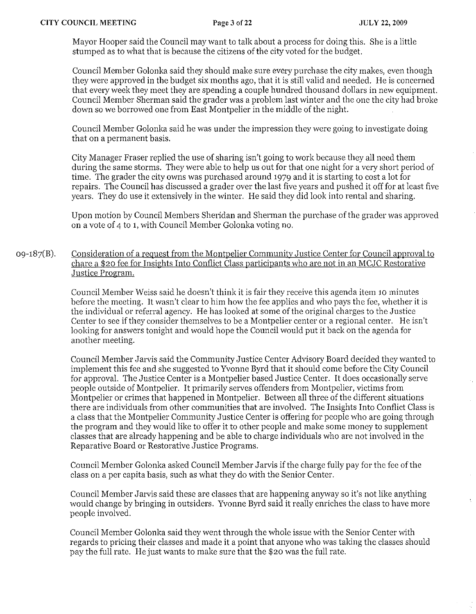Mayor Hooper said the Council may want to talk about a process for doing this. She is a little stumped as to what that is because the citizens of the city voted for the budget.

Council Member Golonka said they should make sure every purchase the city makes, even though they were approved in the budget six months ago, that it is still valid and needed. He is concerned that every week they meet they are spending a couple hundred thousand dollars in new equipment. Council Member Sherman said the grader was a problem last winter and the one the city had broke down so we borrowed one from East Montpelier in the middle of the night.

Council Member Golonka said he was under the impression they were going to investigate doing that on a permanent basis.

City Manager Fraser replied the use of sharing isn't going to work because they all need them during the same storms. They were able to help us out for that one night for a very short period of time. The grader the city owns was purchased around 1979 and it is starting to cost a lot for repairs. The Council has discussed a grader over the last five years and pushed it off for at least five years. They do use it extensively in the winter. He said they did look into rental and sharing.

Upon motion by Council Members Sheridan and Sherman the purchase of the grader was approved on a vote of 4 to 1, with Council Member Golonka voting no.

 $09-187(B)$ . Consideration of a request from the Montpelier Community Justice Center for Council approval to chare a \$20 fee for Insights Into Conflict Class participants who are not in an MCJC Restorative Justice Program.

> Council Member Weiss said he doesn't think it is fair they receive this agenda item 10 minutes before the meeting. It wasn't clear to him how the fee applies and who pays the fee, whether it is the individual or referral agency. He has looked at some of the original charges to the Justice Center to see if they consider themselves to be a Montpelier center or a regional center. He isn't looking for answers tonight and would hope the Council would put it back on the agenda for another meeting.

Council Member Jarvis said the Community Justice Center Advisory Board decided they wanted to implement this fee and she suggested to Yvonne Byrd that it should come before the City Council for approval. The Justice Center is a Montpelier based Justice Center. It docs occasionally serve people outside of Montpelier. It primarily serves offenders from Montpelier, victims from Montpelier or crimes that happened in Montpelier. Between all three of the different situations there are individuals from other communities that are involved. The Insights Into Conflict Class is a class that the Montpelier Community Justice Center is offering for people who arc going through the program and they would like to offer it to other people and make some money to supplement classes that are already happening and be able to charge individuals who are not involved in the Reparative Board or Restorative Justice Programs.

Council Member Golonka asked Council Member Jarvis if the charge fully pay for the fee of the class on a per capita basis, such as what they do with the Senior Center.

Council Member Jarvis said these are classes that are happening anyway so it's not like anything would change by bringing in outsiders. Yvonne Byrd said it really enriches the class to have more people involved.

Council Member Golonka said they went through the whole issue with the Senior Center with regards to pricing their classes and made it a point that anyone who was taking the classes should pay the full rate. He just wants to make sure that the \$20 was the full rate.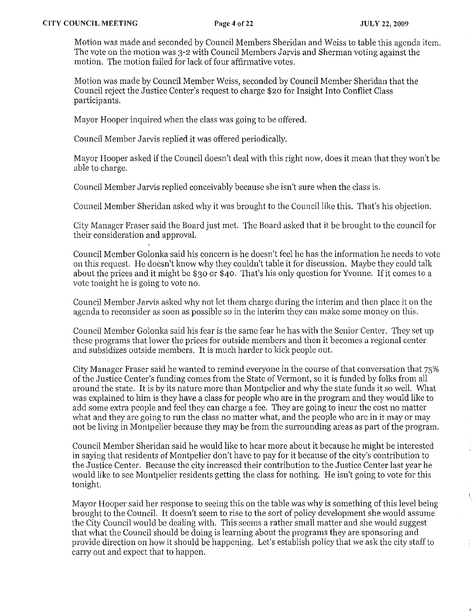$\hat{\mathcal{A}}$ 

 $\tilde{\Sigma}_1$ 

Motion was made and seconded by Council Members Sheridan and Weiss to table this agenda item. The vote on the motion was 3-2 with Council Members Jarvis and Sherman voting against the motion. The motion failed for lack of four affirmative votes.

Motion was made by Council Member Weiss, seconded by Council Member Sheridan that the Council reject the Justice Center's request to charge \$20 for Insight Into Conflict Class participants.

Mayor Hooper inquired when the class was going to be offered.

Council Member Jarvis replied it was offered periodically.

Mayor Hooper asked if the Council doesn't deal with this right now, does it mean that they won't be able to charge.

Council Member Jarvis replied conceivably because she isn't sure when the class is.

Council Member Sheridan asked why it was brought to the Council like this. That's his objection.

City Manager Fraser said the Board just met. The Board asked that it be brought to the council for their consideration and approval.

Council Member Golonka said his concern is he doesn't feel he has the information he needs to vote on this request. He doesn't know why they couldn't table it for discussion. Maybe they could talk about the prices and it might be \$30 or \$40. That's his only question for Yvonne. If it comes to a vote tonight he is going to vote no.

Council Member Jarvis asked why not let them charge during the interim and then place it on the agenda to reconsider as soon as possible so in the interim they can make some money on this.

Council Member Golonka said his fear is the same fear he has with the Senior Center. They set up these programs that lower the prices for outside members and then it becomes a regional center and subsidizes outside members. It is much harder to kick people out.

City Manager Fraser said he wanted to remind everyone in the course of that conversation that 75% of the Justice Center's funding comes from the State of Vermont, so it is funded by folks from all around the state. It is by its nature more than Montpelier and why the state funds it so well. What was explained to him is they have a class for people who are in the program and they would like to add some extra people and feel they can charge a fee. They are going to incur the cost no matter what and they are going to run the class no matter what, and the people who are in it mayor may not be living in Montpelier because they may be from the surrounding areas as part of the program.

Council Member Sheridan said he would like to hear more about it because he might be interested in saying that residents of Montpelier don't have to pay for it because of the city's contribution to the Justice Center. Because the city increased their contribution to the Justice Center last year he would like to see Montpelier residents getting the class for nothing. He isn't going to vote for this tonight.

Mayor Hooper said her response to seeing this on the table was why is something of this level being brought to the Council. It doesn't seem to rise to the sort of policy development she would assume the City Council would be dealing with. This seems a rather small matter and she would suggest that what the Council should be doing is learning about the programs they are sponsoring and provide direction on how it should be happening. Let's establish policy that we ask the city staff to carry out and expect that to happen.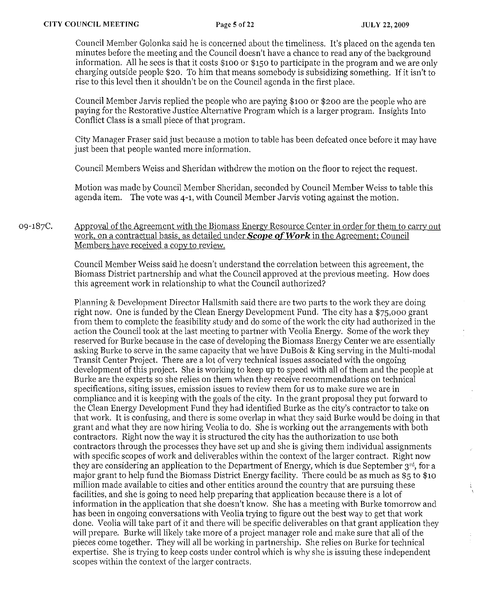Council Member Golonka said he is concerned about the timeliness. It's placed on the agenda ten minntes before the meeting and the Council doesn't have a chance to read any of the background information. All he sees is that it costs \$100 or \$150 to participate in the program and we are only charging outside people \$20. To him that means somebody is subsidizing something. If it isn't to rise to this level then it shouldn't be on the Council agenda in the first place.

Council Member Jarvis replied the people who are paying \$100 or \$200 are the people who are paying for the Restorative Justice Alternative Program which is a larger program. Insights Into Conflict Class is a small piece of that program.

City Manager Fraser said just because a motion to table has been defeated once before it may have just been that people wanted more information.

Council Members Weiss and Sheridan withdrew the motion on the floor to reject the request.

Motion was made by Council Member Sheridan, seconded by Council Member Weiss to table this agenda item. The vote was 4-1, with Council Member Jarvis voting against the motion.

## 09-187C. Approval of the Agreement with the Biomass Energy Resource Center in order for them to carry out work, on a contractual basis, as detailed under Scope of *Work* in the Agreement: Council Members have received a copy to review.

Council Member Weiss said he doesn't understand the correlation between this agreement, the Biomass District partnership and what the Council approved at the previous meeting. How does this agreement work in relationship to what the Council authorized?

Planning & Development Director Hallsmith said there are two parts to the work they are doing right now. One is funded by the Clean Energy Development Fund. The city has a \$75,000 grant from them to complete the feasibility study and do some of the work the city had authorized in the action the Council took at the last meeting to partner with Veolia Energy. Some of the work they reserved for Burke because in the case of developing the Biomass Energy Center we are essentially asking Burke to serve in the same capacity that we have DuBois & King serving in the Multi-modal Transit Center Project. There are a lot of very technical issues associated with the ongoing development of this project. She is working to keep up to speed with all of them and the people at Burke are the experts so she relies on them when they receive recommendations on technical specifications, siting issues, emission issues to review them for us to make sure we are in compliance and it is keeping with the goals of the city. In the grant proposal they put forward to the Clean Energy Development Fund they had identified Burke as the city's contractor to take on that work. It is confusing, and there is some overlap in what they said Burke would be doing in that grant and what they are now hiring Veolia to do. She is working ont the arrangements with both contractors. Right now the way it is structured the city has the authorization to use both contractors through the processes they have set up and she is giving them individual assignments with specific scopes of work and deliverables within the context of the larger contract. Right now they are considering an application to the Department of Energy, which is due September 3<sup>rd</sup>, for a major grant to help fund the Biomass District Energy facility. There could be as much as \$5 to \$10 million made available to cities and other entities around the country that are pursuing these facilities, and she is going to need help preparing that application because there is a lot of information in the application that she doesn't know. She has a meeting with Burke tomorrow and has been in ongoing conversations with Veolia trying to figure out the best way to get that work done. Veolia will take part of it and there will be specific deliverables on that grant application they will prepare. Burke will likely take more of a project manager role and make sure that all of the pieces come together. They will all be working in partnership. She relies on Burke for technical expertise. She is trying to keep costs under control which is why she is issuing these independent scopes within the context of the larger contracts.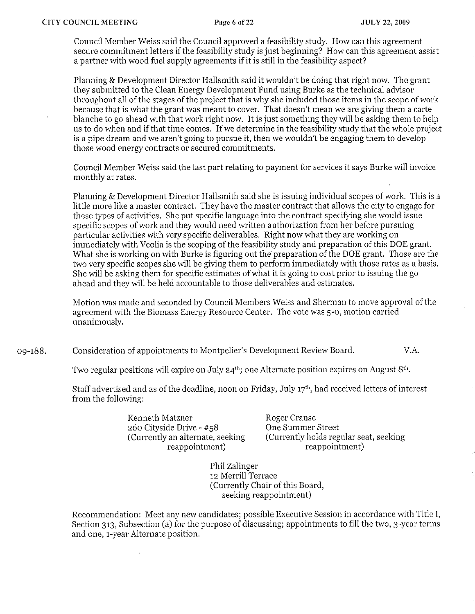Council Member Weiss said the Council approved a feasibility study. How can this agreement secure commitment letters if the feasibility study is just beginning? How can this agreement assist a partner with wood fuel supply agreements if it is still in the feasibility aspect?

Planning & Development Director Hallsmith said it wouldn't be doing that right now. The grant they submitted to the Clean Energy Development Fund using Burke as the technical advisor throughout all of the stages of the project that is why she included those items in the scope of work because that is what the grant was meant to cover. That doesn't mean we are giving them a carte blanche to go ahead with that work right now. It is just something they will be asking them to help us to do when and if that time comes. If we determine in the feasibility study that the whole project is a pipe dream and we aren't going to pursue it, then we wouldn't be engaging them to develop those wood energy contracts or secured commitments.

Council Member Weiss said the last part relating to payment for services it says Burke will invoice monthly at rates.

Planning & Development Director Hallsmith said she is issuing individual scopes of work. This is a little more like a master contract. They have the master contract that allows the city to engage for these types of activities. She put specific language into the contract specifying she would issue specific scopes of work and they would need written authorization from her before pursuing particular activities with very specific deliverables. Right now what they are working on immediately with Veolia is the scoping of the feasibility study and preparation of this DOE grant. What she is working on with Burke is figuring out the preparation of the DOE grant. Those are the two very specific scopes she will be giving them to perform immediately with those rates as a basis. She will be asking them for specific estimates of what it is going to cost prior to issuing the go ahead and they will be held accountable to those deliverables and estimates.

Motion was made and seconded by Council Members Weiss and Sherman to move approval of the agreement with the Biomass Energy Resource Center. The vote was 5-0, motion carried unanimously.

09-188. Consideration of appointments to Montpelier's Development Review Board. The V.A.

Two regular positions will expire on July  $24^{th}$ ; one Alternate position expires on August  $8^{th}$ .

Staff advertised and as of the deadline, noon on Friday, July 17'h, had received letters of interest from the following:

> Kenneth Matzner 260 Cityside Drive - #58 (Currently an alternate, seeking reappointment)

Roger Cranse One Summer Street (Currently holds regular seat, seeking reappointment)

Phil Zalinger 12 Merrill Terrace (Currently Chair of this Board, seeking reappointment)

Recommendation: Meet any new candidates; possible Executive Session in accordance with Title I, Section 313, Subsection (a) for the purpose of discussing; appointments to fill the two, 3-year terms and one, 1-year Alternate position.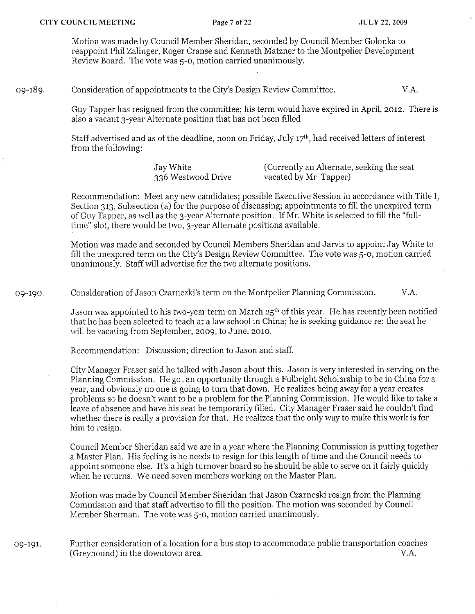Motion was made by Council Member Sheridan, seconded by Council Member Golonka to reappoint Phil Zalinger, Roger Cranse and Kenneth Matzner to the Montpelier Development Review Board. The vote was 5-0, motion carried unanimously.

### 09-189. Consideration of appointments to the City's Design Review Committee. V.A.

Guy Tapper has resigned from the committee; his term would have expired in April, 2012. There is also a vacant 3-year Alternate position that has not been filled.

Staff advertised and as of the deadline, noon on Friday, July 17th, had received letters of interest from the following:

> Jay White 336 Westwood Drive

(Currently an Alternate, seeking the seat vacated by Mr. Tapper)

Recommendation: Meet any new candidates; possible Executive Session in accordance with Title i, Section 313, Subsection (a) for the purpose of discussing; appointments to fill the unexpired term of Guy Tapper, as well as tbe 3-year Alternate position. If Mr. White is selected to fill the "fulltime" slot, there would be two, 3-year Alternate positions available.

Motion was made and seconded by Council Members Sheridan and Jarvis to appoint Jay White to fill the unexpired term on the City's Design Review Committee. The vote was 5-0, motion carried unanimously. Staff will advertise for the two alternate positions.

09-190. Consideration of Jason Czarnezki's term on the Montpelier Planning Commission. V.A.

> Jason was appointed to his two-year term on March  $25<sup>th</sup>$  of this year. He has recently been notified that he has been selected to teach at a law school in China; he is seeking guidance re: the seat he will be vacating from September, 2009, to June, 2010.

Recommendation: Discussion; direction to Jason and staff.

City Manager Fraser said he talked with Jason about this. Jason is very interested in serving on the Planning Commission. He got an opportunity through a Fulbright Scholarship to be in China for a year, and obviously no one is going to turn that down. He realizes being away for a year creates problems so he doesn't want to be a problem for the Planning Commission. He would like to take a leave of absence and have his seat be temporarily filled. City Manager Fraser said he couldn't find whether there is really a provision for that. He realizes that the only way to make this work is for him to resign.

Council Member Sheridan said we are in a year where the Planning Commission is putting together a Master Plan. His feeling is he needs to resign for this length of time and the Council needs to appoint someone else. It's a high turnover board so he should be able to serve on it fairly quickly when he returns. We need seven members working on the Master Plan.

Motion was made by Council Member Sheridan that Jason Czarneski resign from the Planning Commission and that staff advertise to fill the position. The motion was seconded by Council Member Sherman. The vote was 5-0, motion carried unanimously.

## 09-191. Further consideration of a location for a bus stop to accommodate public transportation coaches (Greyhound) in the downtown area. V.A.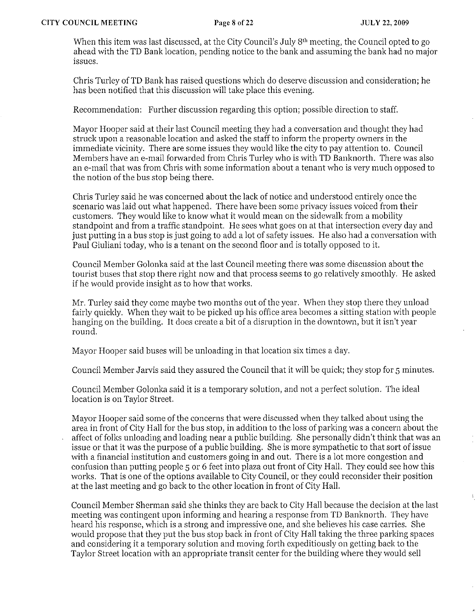When this item was last discussed, at the City Council's July 8<sup>th</sup> meeting, the Council opted to go ahead with the TD Bank location, pending notice to the bank and assuming the bank had no major issues.

Chris Turley of TD Bank has raised questions which do deserve discussion and consideration; he has been notified that this discussion will take place this evening.

Recommendation: Further discussion regarding this option; possible direction to staff.

Mayor Hooper said at their last Council meeting they had a conversation and thought they had struck upon a reasonable location and asked the staff to inform the property owners in the immediate vicinity. There are some issues they would like the city to pay attention to. Council Members have an e-mail forwarded from Chris Turley who is with TD Banknorth. There was also an e-mail that was from Chris with some information about a tenant who is very much opposed to the notion of the bus stop being there.

Chris Turley said he was concerned about the lack of notice and understood entirely once the scenario was laid out what happened. There have been some privacy issues voiced from their customers. They would like to know what it would mean on the sidewalk from a mobility standpoint and from a traffic standpoint. He sees what goes on at that intersection every day and just putting in a bus stop is just going to add a lot of safety issues. He also had a conversation with Paul Giuliani today, who is a tenant on the second floor and is totally opposed to it.

Council Member Golonka said at the last Council meeting there was some discussion about the tourist buses that stop there right now and that process seems to go relatively smoothly. He asked if he would provide insight as to how that works.

Mr. Turley said they come maybe two months out of the year. When they stop there they unload fairly quickly. When they wait to be picked up his office area becomes a sitting station with people hanging on the building. It does create a bit of a disruption in the downtown, but it isn't year round.

Mayor Hooper said buses will be unloading in that location six times a day.

Council Member Jarvis said they assured the Council that it will be quick; they stop for 5 minutes.

Council Member Golonka said it is a temporary solution, and not a perfect solution. The ideal location is on Taylor Street.

Mayor Hooper said some of the concerns that were discussed when they talked about using the area in front of City Hall for the bus stop, in addition to the loss of parking was a concern about the affect of folks unloading and loading near a public building. She personally didn't think that was an issue or that it was the purpose of a public building. She is more sympathetic to that sort of issue with a financial institution and customers going in and out. There is a lot more congestion and confusion than putting people 5 or 6 feet into plaza out front of City Hall. They could see how this works. That is one of the options available to City Council, or they could reconsider their position at the last meeting and go back to the other location in front of City Hall.

Council Member Sherman said she thinks they are back to City Hall because the decision at the last meeting was contingent upon informing and hearing a response from TD Banknorth. They have heard his response, which is a strong and impressive one, and she believes his case carries. She would propose that they put the bus stop back in front of City Hall taking the three parking spaces and considering it a temporary solution and moving forth expeditiously on getting back to the Taylor Street location with an appropriate transit center for the building where they would sell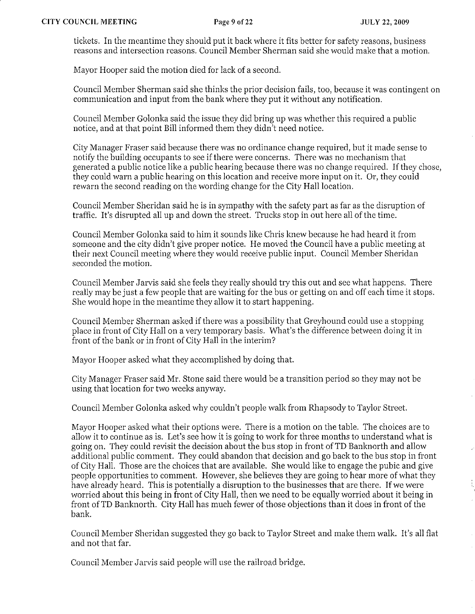ţ

tickets. In the meantime they should put it back where it fits better for safety reasons, business reasons and intersection reasons. Council Member Sherman said she would make that a motion.

Mayor Hooper said the motion died for lack of a second.

Council Member Sherman said she thinks the prior decision fails, too, because it was contingent on communication and input from the bank where they put it without any notification.

Council Member Golonka said the issue they did bring up was whether this required a public notice, and at that point Bill informed them they didn't need notice.

City Manager Fraser said because there was no ordinance change required, but it made sense to notify the building occupants to see if there were concerns. There was no mechanism that generated a public notice like a public hearing because there was no change required. If they chose, they could warn a public hearing on this location and receive more input on it. Or, they could rewarn the second reading on the wording change for the City Hall location.

Council Member Sheridan said he is in sympathy with the safety part as far as the disruption of traffic. It's disrupted all up and down the street. Trucks stop in out here all of the time.

Council Member Golonka said to him it sounds like Chris knew because he had heard it from someone and the city didn't give proper notice. He moved the Council have a public meeting at their next Council meeting where they would receive public input. Council Member Sheridan seconded the motion.

Council Member Jarvis said she feels they really should try this out and see what happens. There really may be just a few people that are waiting for the bus or getting on and off each time it stops. She would hope in the meantime they allow it to start happening.

Council Member Sherman asked if there was a possibility that Greyhound could use a stopping place in front of City Hall on a very temporary basis. What's the difference between doing it in front of the bank or in front of City Hall in the interim?

Mayor Hooper asked what they accomplished by doing that.

City Manager Fraser said Mr. Stone said there would be a transition period so they may not be using that location for two weeks anyway.

Council Member Golonka asked why couldn't people walk from Rhapsody to Taylor Street.

Mayor Hooper asked what their options were. There is a motion on the table. The choices are to allow it to continue as is. Let's see how it is going to work for three months to understand what is going on. They could revisit the decision about the bns stop in front ofTD Banknorth and allow additional public comment. They could abandon that decision and go back to the bus stop in front of City Hall. Those are the choices that are available. She would like to engage the pubic and give people opportunities to comment. However, she believes they are going to hear more of what they have already heard. This is potentially a disruption to the businesses that are there. If we were worried about this being in front of City Hall, then we need to be equally worried about it being in front ofTD Banknorth. City Hall has much fewer of those objections than it does in front of the bank.

Council Member Sheridan suggested they go back to Taylor Street and make them walk. It's all flat and not that far.

Council Member Jarvis said people will use the railroad bridge.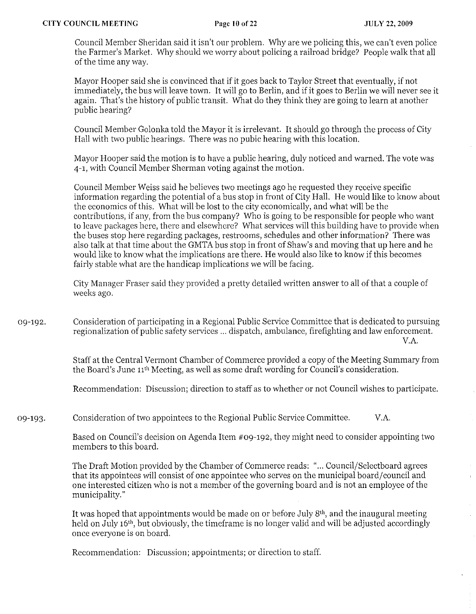Council Member Sheridan said it isn't our problem. Why are we policing this, we can't even police the Farmer's Market. Why should we worry about policing a railroad bridge? People walk that all of the time any way.

Mayor Hooper said she is convinced that if it goes back to Taylor Street that eventually, if not immediately, the bus will leave town. It will go to Berlin, and if it goes to Berlin we will never see it again. That's the history of public transit. What do they think they are going to learn at another public hearing?

Council Member Golonka told the Mayor it is irrelevant. It should go through the process of City Hall with two public hearings. There was no pubic hearing with this location.

Mayor Hooper said the motion is to have a public hearing, duly noticed and warned. The vote was 4-1, with Council Member Sherman voting against the motion.

Council Member Weiss said he believes two meetings ago he requested they receive specific information regarding the potential of a bus stop in front of City Hall. He would like to know about the economics of this. What will be lost to the city economically, and what will be the contributions, if any, from the bus company? Who is going to be responsible for people who want to leave packages here, there and elsewhere? What services will this building have to provide when the buses stop here regarding packages, restrooms, schedules and other information? There was also talk at that time about the GMTA bus stop in front of Shaw's and moving that up here and he would like to know what the implications are there. He would also like to know if this becomes fairly stable what are the handicap implications we will be facing.

City Manager Fraser said they provided a pretty detailed written answer to all of that a couple of weeks ago.

09-192. Consideration of participating in a Regional Public Service Committee that is dedicated to pursuing regionalization of public safety services ... dispatch, ambulance, firefighting and law enforcement. V.A.

> Staff at the Central Vermont Chamber of Commerce provided a copy of the Meeting Summary from the Board's June 11th Meeting, as well as some draft wording for Council's consideration.

> Recommendation: Discussion; direction to staff as to whether or not Council wishes to participate.

09-193. Consideration of two appointees to the Regional Public Service Committee. V.A.

> Based on Council's decision on Agenda Item #09-192, they might need to consider appointing two members to this board.

The Draft Motion provided by the Chamber of Commerce reads: " ... Council/Selectboard agrees that its appointees will consist of one appointee who serves on the municipal board/council and one interested citizen who is not a member of the governing board and is not an employee of the municipality."

It was hoped that appointments would be made on or before July  $8<sup>th</sup>$ , and the inaugural meeting held on July 16<sup>th</sup>, but obviously, the timeframe is no longer valid and will be adjusted accordingly once everyone is on board.

Recommendation: Discussion; appointments; or direction to staff.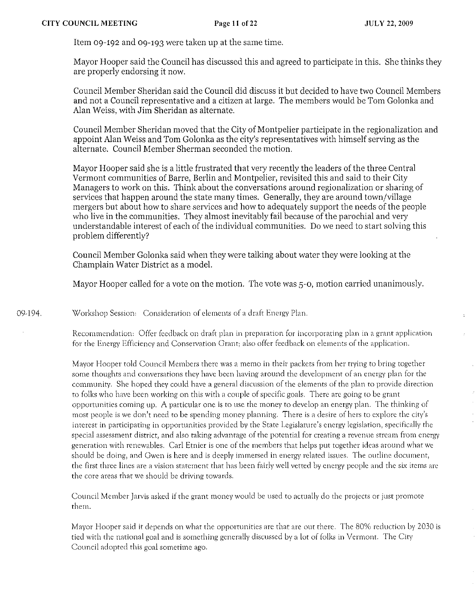Item 09-192 and 09-193 were taken up at the same time.

Mayor Hooper said the Couneil has discussed this and agreed to participate in this. She thinks they are properly endorsing it now.

Council Member Sheridan said the Council did discuss it but decided to have two Council Members and not a Council representative and a citizen at large. The members would be Tom Golonka and Alan Weiss, with Jim Sheridan as alternate.

Council Member Sheridan moved that the City of Montpelier partieipate in the regionalization and appoint Alan Weiss and Tom Golonka as the city's representatives with himself serving as the alternate. Council Member Sherman seconded the motion.

Mayor Hooper said she is a little frustrated that very recently the leaders of the three Central Vermont communities of Barre, Berlin and Montpelier, revisited this and said to their City Managers to work on this. Think about the conversations around regionalization or sharing of services that happen around the state many times. Generally, they are around town/village mergers but about how to share services and how to adequately support the needs of the people who live in the communities. They almost inevitably fail because of the parochial and very understandable interest of each of the individual communities. Do we need to start solving this problem differently'?

Couneil Member Golonka said when they were talking about water they were looking at the Champlain Water District as a model.

Mayor Hooper called for a vote on the motion. The vote was 5-0, motion carried unanimously.

09·194 Workshop Session: Consideration of elements of a draft Energy Plan.

> Recommendation: Offer feedback on draft plan in preparation for incorporating plan in a grant application for the Energy Efficiency and Conservation Grant; also offer feedback on clements of the application.

Mayor Hooper told Council Members there was a memo in their packets frorn her trying to bring together some thoughts and conversations they have been having around the development of an energy plan for the community. She hoped they could have a general discussion of the clements of the plan to provide direction to folks who have been working on this with a couple of specific goals. There arc going to be grant opportunities coming up. A particular one is to use the money to develop an energy plan. The thinking of most people is we don't need to be spending money planning. There is a desire of hers to explore the city's interest in participating in opportunities provided by the State Legislature's energy legislation, specifically the special assessment district, and also taking advantage of the potential for creating a revenue stream from energy generation with renewables. Carl Etnier is one of the members that helps put together ideas around what we should be doing, and Gwen is here and is deeply immersed in energy related issues. The outline document, the first three lines are a vision statement that has been fairly well vetted by energy people and the six items are the core areas that we should be driving towards.

Council Member Jarvis asked if the grant money would be used to actually do the projects or just promote them.

Mayor Hooper said it depends on what the opportunities are that are out there. The 80% reduction by 2030 is tied with the national goal and is something generally discussed by a lot of folks in Vermont. The City Council adopted this goal sometime ago.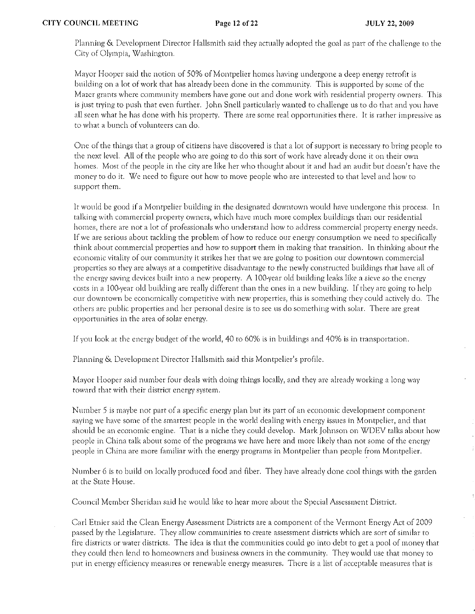Planning & Development Director Hallsmith said they actually adopted the goal as part of the challenge ro the City of Olympia, Washington.

Mayor Hooper said the notion of 50% of Montpelier homes having undergone a deep energy retrofit is building on a lot of work that has already been done in the community. This is supported by some of the Mazer grants where community members have gone out and done work with residential property owners. This is just trying to push that even further. John Snell particularly wanted to challenge us to do that and you have all seen what he has done with his property. There arc some real opportunities there. It is rather impressive as to what a bunch of volunteers can do.

One of the things that a group of citizens have discovered is that a lot of support is neeessary to bring people to the next level. All of the people who are going to do this sort of work have already done it on their own homes. Most of the people in the city are like her who thought about it and had an audit but doesn't have the money to do it. We need to figure out how to move people who are interested to that level and how to support them.

It would be good if a Montpelier building in the designated downtown would have undergone this process. In talking with commercial property owners, which have much more complex buildings than our residential homes, there are not a lot of professionals who understand how to address commercial property energy needs. If we are serious ahout tackling the problem of how to reduce our energy consumption we need to specifically think about commercial properties and how to support them in making that transition. In thinking about the economic vitality of our community it strikes her that we are going to position our downtown commercial properties so they arc always at a competitive disadvantage to the newly constructed buildings thar have all of the energy saving devices built into a new property. A 100-year old building leaks like a sieve so the energy costs in a 100-year old building are really different than the ones in a new building. If they arc going to help our downtown be economically competitive with new properties, this is something they could actively do. The others are public properties and her personal desire is to see us do something with solar. There are great opportunities in the area of solar energy.

If you look at the energy budget of the world, 40 to 60% is in buildings and 40% is in transportation.

Planning & Development Director Hallsmith said this Montpelier's profile.

Mayor Hooper said number four deals with doing things locally) and they are already working a long way toward that with their district energy system.

Number 5 is maybe not part of a specific energy plan but its part of an economic development component saying we have some of the smartest people in the world dealing with energy issues in Montpelier, and that should be an economic engine. That is a niche they could develop. Mark Johnson on WDEV talks about how people in China talk about some of the programs we have here and more likely than not some of the energy people in China are more familiar with the energy programs in Montpelier than people from Montpelier.

Number 6 is to build on locally produced food and fiber. They have already done cool things with the garden at the State House.

Council Member Sheridan said he would like to hear more about the Special Assessment District.

Carl Etnier said the Clean Energy Assessment Districts are a component of the Vermont Energy Act of 2009 passed by the Legislature. They allow communities to create asscssnlcnt districts which arc sort of similar to fire districts or water districts. The idea is that the communities could go into debt to get a pool of money that they could then lend to homeowners and business owners in the community. They would usc that money to put in energy efficiency measures or renewable energy measures. There is a list of acceptable measures that is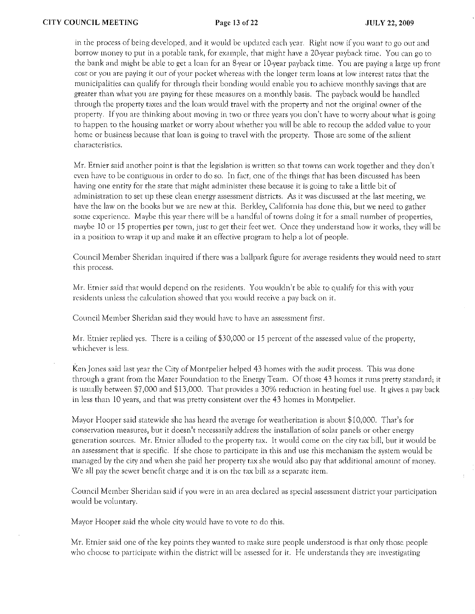in the process of being developed, and it would be updated each year. Right now if you want to go out and borrow money to put in a potable tank, for example, that might have a 20-year payback time. You can go to the bank and might be able to get a loan for an 8-year or 10-year payback time. You are paying a large up front cost or you are paying it out of your pocket whereas with the longer term loans at low interest rates that the municipalities can qualify for through their bonding would enable you to achieve monthly savings that are greater than what you are paying for these measures on a monthly basis. The payback would be handled through the property taxes and the loan would travel with the property and not the original owner of the property. If you are thinking about moving in two or three years you don't have to worry about what is going to happen to the housing market or worry about whether you will be able to recoup the added value to your home or business because that loan is going to travel with the property. Those are some of the salient characteristics.

Mr. Etnier said another point is that the legislation is written so that towns can work together and they don't even have to be contiguous in order to do so. In fact, one of the things that has been discussed has been having one entity for the state that might administer these because it is going to take a little bit of adrninistration to set up these clean energy assessment districts. As it was discussed at the last meeting, we have the law on the books but we are new at this. Berkley, California has done this, but we need to gather some experience. Maybe this year there will be a handful of towns doing it for a small number of properties, maybe 10 or 15 properties per town, just to get their feet wet. Once they understand how it works, they will be in a position to wrap it up and make it an effective program to help a lot of people.

Council Member Sheridan inquired if there was a ballpark figure for average residents they would need to start this process.

Mr. Etnier said that would depend on the residents. You wouldn't be able to qualify for this with your residents unless the calculation showed that you would receive a pay back on it.

Council Member Sheridan said they would have to have an assessment first.

Mr. Etnier replied yes. There is a ceiling of \$30,000 or 15 percent of the assessed value of the property, whichever is less.

Ken Jones said last year the City of Montpelier helped 43 homes with the audit process. This was done through a grant from the Mazer Foundation to the Energy Team. Of those 43 homes it runs pretty standard; it is usually between \$7,000 and \$13,000. That provides a 30% reduction in heating fuel use. It gives a pay back in less than 10 years, and that was prerty consistent over the 43 homes in Montpelier.

Mayor Hooper said statewide she has heard the average for weatherization is about \$10,000. That's for conservation measures, but it doesn't necessarily address the installation of solar panels or other energy generation sources. Mr. Etnier alluded to the property tax. It would come on the city tax bill, but it would be an assessment that is specific. If she chose to participate in this and use this mechanism the system would be managed by the city and when she paid her property tax she would also pay rhat additional amount of money. We all pay the sewer benefit charge and it is on the tax bill as a separate item.

Council Member Sheridan said if you were in an area declared as special assessment district your participation would be voluntary.

Mayor Hooper said the whole city would have to vote to do this.

Mr. Entier said one of the key points they wanted to make sure people understood is thar only those people who choose to participate within the district will be assessed for it. He understands they are investigating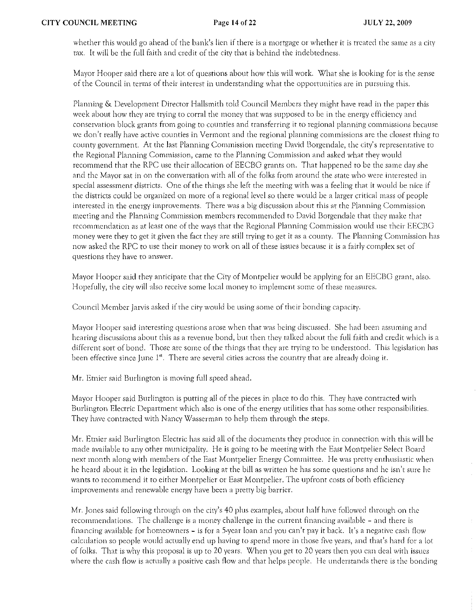whether this would go ahead of the bank's lien if there is a mortgage or whether it is treated the same as a city tax. It will be the (ull faith and credit of the city that is behind the indebtedness.

Mayor Hooper said there are a lot of questions about how this will work. What she is looking for is the sense of the Council in terms of their interest in understanding what the opportunities arc in pursuing this.

Planning & Development Director Hallsmith told Council Members they might have read in the paper this week about how they are trying to corral the money that was supposed to be in the energy efficiency and conservation block grants from going to counties and transferring it to regional planning commissions because we don't really have active counties in Vermont and the regional planning commissions are the closest thing to county government. At the last Planning Commission meeting David Borgendale, the city's representative to the Regional Planning Commission) came to the Planning Commission and asked what they would recommend that the RPC use their allocation of EECBG grants on. That happened to be the same day she and the Mayor sat in on the conversation with all of the folks from around the state who were interested in special assessment districts. One of the things she left the meeting with was a feeling that it would be nice if the districts could be organized on more of a regional level so there would be a larger critical mass of people interested in the energy improvements. There was a big discussion about this at the Planning Commission meeting and the Planning Commission members recommended to David Borgendale that they make that recommendation as at least one of the ways that the Regional Planning Commission would use their EECBO money were they to get it given the fact they are still trying to get it as a county. The Planning Commission has now asked the RPC to use their money to work on all of these issues because it is a fairly complex set of questions they have to answer.

Mayor Hooper said they anticipate that the City of Montpelier would be applying for an EECBG grant, also. Hopefully, the city will also receive some local money to implement sorne of these measures.

Council Member Jarvis asked if the city would be using some of their bonding capacity.

Mayor Hooper said interesting questions arose when that was being disclissed. She had been assurning and hearing discussions about this as a revenue bond, but then they talked about the full faith and credit which is a different sort of bond. Those are some of the things that they are trying to be understood. This legislation has been effective since June  $I^*$ . There are several cities across the country that are already doing it.

Mr. Etnier said Burlington is moving full speed ahead.

Mayor Hooper said Burlington is putting all of the pieces in place to do this. They have contracted with Burlington Electric Department which also is one of the energy utilities that has some other responsibilities, They have contracted with Nancy Wasserman to help them through the steps.

Mr. Etnier said Burlington Electric has said all of the documents they produce in connection with this will be made available to any other municipality. He is going to be meeting with the East Montpelier Select Board next month along with members of the East Montpelier Energy Committee. He was pretty enthusiastic when he heard about it in the legislation. Looking at the bill as written he has some questions and he isn't sure he wants to recommend it to either Montpelier or East Montpelier. The upfront costs of both efficiency improvements and renewable energy have been a pretty big barrier.

Mr. Jones said following through on the city's 40 plus examples, about half have (ollowed through on the recommendations. The challenge is a money challenge in the current financing available - and there is financing available for homeowners – is for a 5-year loan and you can't pay it back. It's a negative cash flow calculation so people would actually end up having to spend more in those five years, and that's hard for a lot of folks. That is why this proposal is up to 20 years. When you get to 20 years then you can deal with issues where the cash flow is actually a positive cash flow and that helps people. He understands there is the bonding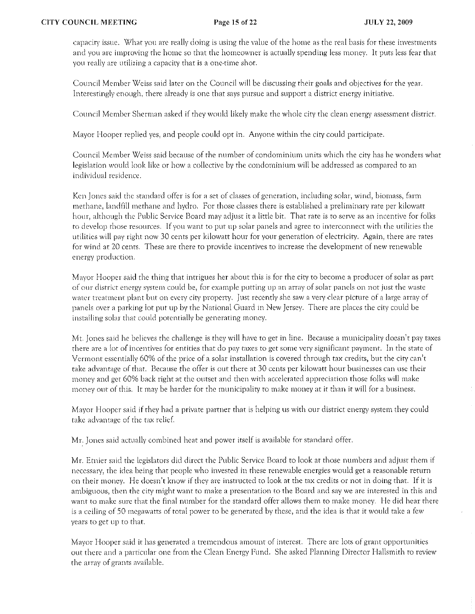capacity issue. What you are really doing is using the value of the home as the real basis for these investments and YOll arc improving the home so that the homeowner is actually spending less money. It puts less fcar that you really are utilizing a capacity that is a one-time shot.

Council Member Weiss said later on the Council will be discussing their goals and objectives for the year. Interestingly enough, there already is one that says pursue and support a district energy initiative.

Council Member Sherman asked if they would likely make the whole city the clean energy assessment district.

Mayor Hooper replied yes, and people could opt in. Anyone within the city could participate.

Council Member Weiss said because of the number of condominium units which the city has he wonders what legislation would look like or how a collective by the condominium w!ll be addressed as compared to an individual residence.

Ken Jones said the standard offer is for a set of classes of generation, including solar, wind, biomass, farm methane, landfill methane and hydro. For those classes there is established a preliminary rate per kilowatt hour, although the Public Service Board may adjust it a little bit. That rate is to serve as an incentive for folks to develop those resources. If you want to put up solar panels and agree to interconnect with the utilities the utilities will pay right now 30 cents per kilowatt hour for your generation of electricity. Again, there are rates for wind at 20 cents. These are there to provide incentives to increase the development of new renewable energy production.

Mayor Hooper said the thing that intrigues her about this is for the city to become a producer of solar as part of our district energy system could be, for example putting up an array of solar panels on not just the waste water treatment plant but on every city property. Just recently she saw a very clear picture of a large array of panels over a parking lot put up by the National Guard in New Jersey. There are places the city could be instailing solar that could potentially be generating money.

Mt. Jones said he believes the challenge is they will have to get in line. Because a municipality doesn't pay taxes there are a lot of incentives for entities that do pay taxes to get some very significant payment. In the state of Vermont essentially 60% of the price of a solar installation is covered through tax credits, but the city can't take advantage of that. Because the offer is out there at 30 cents per kilowatt hour businesses can use their 111011ey and get 609,6 back right at the outset and then with accelerated appreciation those folks will make money out of this. It may be harder for the municipality to make money at it than it will for a business.

Mayor Hooper said if they had a private partner that is helping us with Ollr district energy system they could take advantage of the tax relief.

Mr. Jones said actually combined heat and power itself is available for standard offer.

Mr. Etnier said rhe legislators did direct the Public Service Board to look at those numbers and adjust them if necessary, the idea being that people who invested in these renewable energies would get a reasonable return on their money. He doesn't know if they are instructed to look at the tax credits or not in doing that. If it is ambiguous, then the city might want to make a presentation to the Board and say we are interested in this and want to make sure that the final number for the standard offer allows them to make money. He did hear there is a ceiling of 50 megawatts of total power to be generated by these, and the idea is that it would take a few years to gct up to that.

Mayor Hooper said it has generated a tremendous amount of interest. There are lots of grant opportunities out there and a particular one from the Clean Energy Fund. She asked Planning Director Hallsmith to review the array of grants available.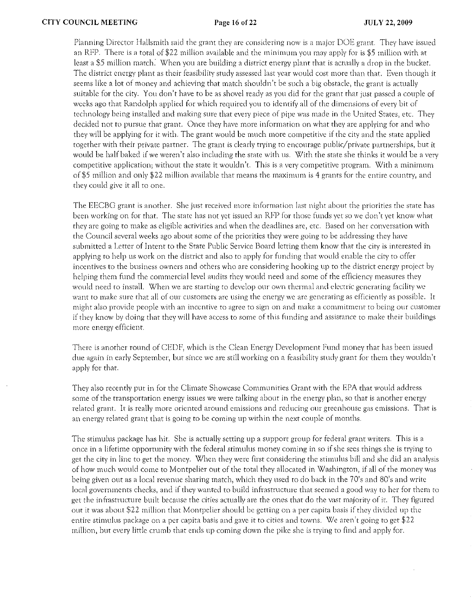Planning Director Hallsmith said the grant they are considering now is a major DOE grant. They have issued an RFP. There is a total of \$22 million available and the minimum you may apply for is \$5 million with at least a \$5 million match: When you are building a district energy plant that is actually a drop in the bucket. The district energy plant as their feasibility study assessed last year would cost more than that. Even though it seems like a lot of money and achieving that match shouldn't be such a big obstacle, the grant is actually suitable for the city. You don't have to be as shovel ready as you did for the grant that just passed a couple of weeks ago that Randolph applied for which required you to identify all of the dimensions of every bit of technology being installed and making sure that every piece of pipe was made in the United States, etc. They decided not to pursue that grant. Once they have more information on what they arc applying for and who they will be applying for it with. The grant would be much more competitive if the city and the state applied together with their private partner. The grant is clearly trying to encourage public/private partnerships, but it would be half baked if we weren't also including the state with us. With the state she thinks it would be a vety competitive application; without the state it wouldn't. This is a very competitive program. With a minimum of \$5 million and only \$22 million available thaf means fhe maxirnum is 4 grants for the entire country, and they could give it all to one.

The EECBG grant is another. She just received more information last night about the priorities the state has been working on for that. The state has not yet issued an RFP for those funds yet so we don't yet know what they arc going to make as eligible activities and when the deadlines arc, etc. Based on her conversation with the Council several weeks ago about some of the priorities they were going to be addressing they have submitted a Letter of Intent to the State Public Service Board letting them know that the city is interested in applying to help us work on the district and also to apply for funding that would enable the city to offer incentives to the business owners and others who are considering hooking up ro fhe district energy project by helping them fund the commercial level audits they would need and some of the efficiency measures they would need to install. When we are starting to develop our own thermal and electric generating facility we want to make sure that all of our customers are using the energy we are generating as efficiently as possible. It might also provide people with an incentive to agree to sign on and make a commitment to being our customer if they know bv doing that they will have access to some of this funding and assistance to make their buildings more energy efficient.

There is another round of CEDF, which is the Clean Energy Development Fund money that has been issued due again in early September, but since we are still working on a feasibility study grant for them they wouldn't apply for that.

They also recently put in for the Climate Showcase Communities Grant with the EPA that would address some of the transportation energy issues we were talking about in the energy plan, so that is another energy related grant. It is really more oriented around emissions and reducing our greenhouse gas emissions. That is an energy related grant that is going to be coming up within the next couple of months.

The stimulus package has hit. She is actually setting up a support group for federal grant writers. This is a once in a lifetime opportunity with the federal stimulus money coming in so if she sees things she is trying to get the city in line to get the money. When they were first considering the stimulus bill and she did an analysis of how much would come to Montpelier out of the total they allocated in Washington, if all of the money was being given out as a local revenue sharing match, which they used to do back in the 70's and 80's and write local governments checks, and if they wanted to build infrastructure that seemed a good way to her for them to get the infrastructure built because the cities actually are the ones that do the vast majority of it. They figured out it was about \$22 million that Montpelier should be gerting on a per capita basis if they divided up the entire stimulus package on a per capita basis and gave it to cities and towns. We aren't going to get  $22$ million, but every little crumb that ends up coming down the pike she is trying to find and apply for.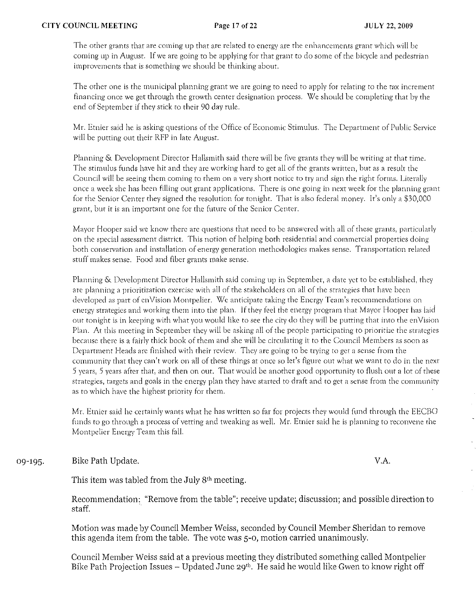The other grants that are coming up that are related to energy are the enhancements grant which will be coming up in August. If we are going to be applying for that grant to do some of the bicycle and pedestrian improvements that is something we should be thinking about.

The other one is the municipal planning grant we are going to need to apply for relating to the tax increment financing once we get through the growth center designation process. We should be completing that by the end of September if they stick to their 90 day rule.

Mr. Etnier said he is asking questions of the Office of Economic Stimulus. The Department of Public Service will be putting out their RFP in late August.

Planning & Development Director Hallsmith said there will be five grants they will be writing at that time. The stimulus funds have hit and they are working hard to get all of the grants written, but as a result the Council will be seeing them coming to them on a very short notice to try and sign the right forms. Literally once a week she has been filling out grant applications. There is one going in next week for the planning grant for the Senior Center they signed the resolution for tonight. That is also federal money. It's only a \$30,000 grant, but it is an important one for the future of the Senior Center.

Mayor Hooper said we know there are questions that need to be answered with all of these grants, particularly on the special assessment district. This notion of helping both residential and commercial properties doing both conservation and installation of energy generation methodologies makes sense. Transportation related sruff makes sense. Food and fiber grants make sense.

Planning & Development Ditector Hallsmith said coming up in September, a date yet to be established, they are planning a prioritization exercise with all of the stakeholders on all of the strategies that have been developed as part of enVision Montpelier. We anticipate taking the Energy Team's recommendations on energy strategies and working them into the plan. If they feel the energy program that Mayor Hooper has laid out tonight is in keeping with what you would like to see the city do they will be putting that into the enVision Plan. At this meeting in September they will be asking all of the people participating to prioritize the strategies because there is a fairly thick book of them and she will be circulating it to the Council Members as soon as Department Heads are finished with their review. They are going to be trying to get a sense from the community that they can't work on all of these things at once so let's figure out what we want to do in the next 5 years, 5 years after that, and then on out. That would be another good opportunity to flush out a lot of these strategies, targets and goals in the energy plan they have started to draft and to get a sense from the community as to which have the highest priority for them.

Mr. Etnier said he certainly wants what he has written so far for projects they would fund through the EECBG funds to go through a process of vetting and tweaking as well. Mr. Etnier said he is planning to reconvene the Montpelier Energy Team this fall.

09-195· Bike Path Update. V.A.

This item was tabled from the July  $8<sup>th</sup>$  meeting.

Recommendation: "Remove from the table"; receive update; discussion; and possible direction to staff.

Motion was made by Council Member Weiss, seconded by Council Member Sheridan to remove this agenda item from the table. The vote was 5-0, motion carried unanimously.

Couneil Member Weiss said at a previous meeting they distributed something called Montpelier Bike Path Projection Issues - Updated June 29<sup>th</sup>. He said he would like Gwen to know right off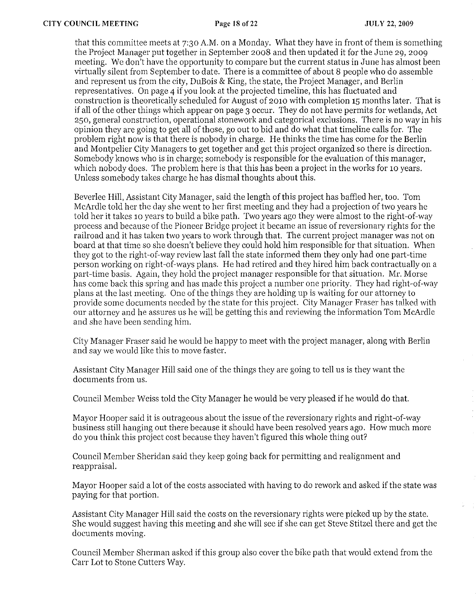that this committee meets at 7:30 A.M. on a Monday. What they have in front of them is something the Project Manager put together in September 2008 and then updated it for the June 29, 2009 meeting. We don't have the opportunity to compare but the current status in June has almost been virtually silent from September to date. There is a committee of about 8 people who do assemble and represent us from the city, DuBois & King, the state, the Project Manager, and Berlin representatives. On page 4 if you look at the projected timeline, this has fluctuated and construction is theoretically scheduled for August of 2010 with completion 15 months later. That is if all of the other things which appear on page 3 occur. They do not have permits for wetlands, Act 250, general construction, operational stonework and categorical exclusions. There is no way in his opinion they are going to get all of those, go out to bid and do what that timeline calls for. The problem right now is that there is nobody in charge. He thinks the time has come for the Berlin and Montpelier City Managers to get together and get this project organized so there is direction. Somebody knows who is in charge; somebody is responsible for the evaluation of this manager, which nobody does. The problem here is that this has been a project in the works for 10 years. Unless somebody takes charge he has dismal thoughts about this.

Beverlee Hill, Assistant City Manager, said the length of this project has baffled her, too. Tom McArdle told her the day she went to her first meeting and they had a projection of two years he told her it takes 10 years to build a bike path. Two years ago they were almost to the right-of-way process and because of the Pioneer Bridge project it became an issue of reversionary rights for the railroad and it has taken two years to work through that. The current project manager was not on board at that time so she doesn't believe they could hold him responsible for that situation. When they got to the right-of-way review last fall the state informed them they only had one part-time person working on right-of-ways plans. He had retired and they hired him back contractually on a part-time basis. Again, they hold the project manager responsible for that situation. Mr. Morse has come back this spring and has made this project a number one priority. They had right-of-way plans at the last meeting. One ofthe things they are holding up is waiting for our attorney to provide some documents needed by the state for this project. City Manager Fraser has talked with our attorney and he assures us he will be getting this and reviewing the information Tom McArdle and she have been sending him.

City Manager Fraser said he would be happy to meet with the project manager, along with Berlin and say we would like this to move faster.

Assistant City Manager Hill said one of the things they are going to tell us is they want the documents from us.

Council Member Weiss told the City Manager he would be very pleased if he would do that.

Mayor Hooper said it is outrageous about the issue of the reversionary rights and right-of-way business still hanging out there because it should have been resolved years ago. How much more do you think this project cost because they haven't figured this whole thing out?

Council Member Sheridan said they keep going back for permitting and realignment and reappraisal.

Mayor Hooper said a lot of the costs associated with having to do rework and asked if the state was paying for that portion.

Assistant City Manager Hill said the costs on the reversionary rights were picked up by the state. She would suggest having this meeting and she will see if she can get Steve Stitzel there and get the documents moving.

Council Member Sherman asked if this group also cover the bike path that would extend from the Carr Lot to Stone Cutters Way.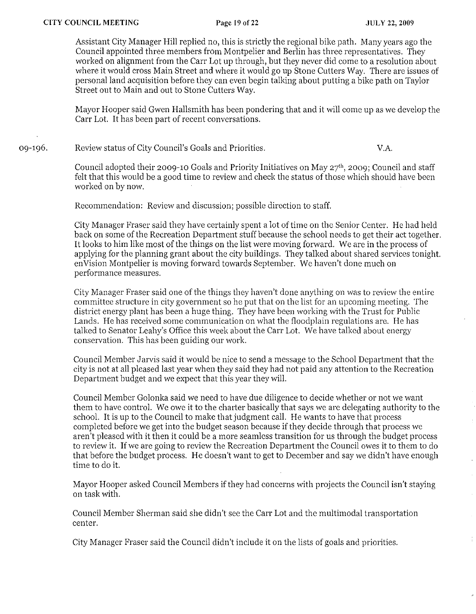Assistant City Manager Hill replied no, this is strictly the regional bike path. Many years ago the Council appointed three members from Montpelier and Berlin has three representatives. They worked on alignment from the Carr Lot up through, but they never did come to a resolution about where it would cross Main Street and where it would go up Stone Cutters Way. There are issues of personal land acquisition before they can even begin talking about putting a bike path on Taylor Street out to Main and out to Stone Cutters Way.

Mayor Hooper said Gwen Hallsmith has been pondering that and it will come up as we develop the Carr Lot. It has been part of recent conversations.

09-196. Review status of City Council's Goals and Priorities. V.A.

> Council adopted their 2009-10 Goals and Priority Initiatives on May  $27<sup>th</sup>$ , 2009; Council and staff felt that this would be a good time to review and check the status of those which should have been worked on by now.

Recommendation: Review and discussion; possible direction to staff.

City Manager Fraser said they have certainly spent a lot of time on the Senior Center. He had held back on some of the Recreation Department stuff because the school needs to get their act together. It looks to him like most of the things on the list were moving forward. We are in the process of applying for the planning grant about the city buildings. They talked about shared services tonight. enVision Montpelier is moving forward towards September. We haven't done much on performance measures.

City Manager Fraser said one of the things they haven't done anything on was to review the entire committee structure in city government so he put that on the list for an upcoming meeting. The district energy plant has been a huge thing. They have been working with the Trust for Public Lands. He has received some communication on what the floodplain regulations are. He has talked to Senator Leahy's Office this week about the Carr Lot. We have talked about energy conservation. This has been guiding our work.

Council Member Jarvis said it would be nice to send a message to the School Department that the city is not at all pleased last year when they said they had not paid any attention to the Recreation Department budget and we expect that this year they will.

Council Member Golonka said we need to have due diligence to decide whether or not we want them to have control. We owe it to the charter basically that says we are delegating authority to the school. It is up to the Council to make that judgment call. He wants to have that process completed before we get into the budget season because if they decide through that process we aren't pleased with it then it could be a more seamless transition for us through the budget process to review it. If we are going to review the Recreation Department the Council owes it to them to do that before the budget process. He doesn't want to get to Deeember and say we didn't have enough time to do it.

Mayor Hooper asked Council Members if they had concerns with projects the Council isn't staying on task with.

Council Member Sherman said she didn't see the Carr Lot and the multimodal transportation center.

City Manager Fraser said the Council didn't include it on the lists of goals and priorities.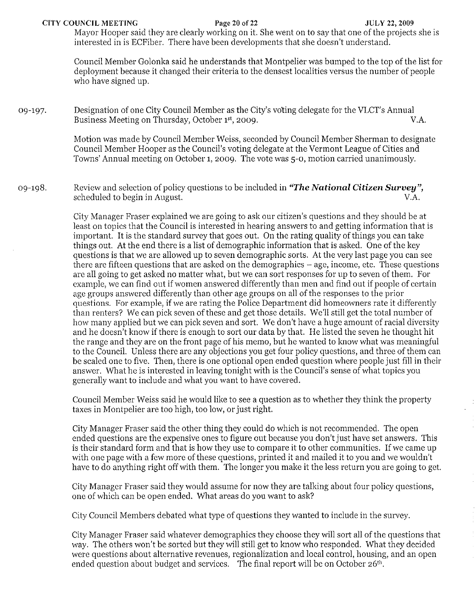CITY COUNCIL MEETING Page 20 of 22 JULY 22, 2009

Mayor Hooper said they are clearly working on it. She went on to say that one of the projects she is interested in is ECFiber. There have been developments that she doesn't understand.

Council Member Golonka said he understands that Montpelier was bumped to the top of the list for deployment because it changed their criteria to the densest localities versus the number of people who have signed up.

09-197. Designation of one City Council Member as the City's voting delegate for the VLCT's Annual<br>Business Meeting on Thursday, October 1st, 2009. Business Meeting on Thursday, October 1<sup>st</sup>, 2009.

> Motion was made by Council Member Weiss, seconded by Council Member Sherman to designate Council Member Hooper as the Council's voting delegate at the Vermont League of Cities and Towns' Annual meeting on October 1, 2009. The vote was 5-0, motion carried unanimously.

Review and selection of policy questions to be included in *"The National Citizen Survey",*  09-198. scheduled to begin in August. V.A.

> City Manager Fraser explained we are going to ask our citizen's questions and they should be at least on topics that the Council is interested in hearing answers to and getting information that is important. It is the standard survey that goes out. On the rating quality of things you can take things out. At the end there is a list of demographic information that is asked. One of the key questions is that we are allowed up to seven demographic sorts. At the very last page you can see there are fifteen questions that are asked on the demographics - age, income, etc. These questions are all going to get asked no matter what, but we can sort responses for up to seven of them. For cxample, we can find out if women answered differently than men and find out if people of certain age groups answered differently than other age groups on all of the responses to the prior questions. For example, if we are rating the Police Department did homeowners rate it differently than renters? We can pick seven of these and get those details. We'l! still get the total number of how many applied but we can pick seven and sort. We don't have a huge amount of racial diversity and he doesn't know if there is enough to sort our data by that. He listed the seven he thought hit the range and they are on the front page of his memo, but he wanted to know what was meaningful to the Council. Unless there are any objections you get four policy questions, and three ofthem can be scaled one to five. Then, there is one optional open ended question where people just fill in their answer. What he is interested in leaving tonight with is the Council's sense of what topics you generally want to include and what you want to have covered.

Council Member Weiss said he would like to see a question as to whether they think the property taxes in Montpelier are too high, too low, or just right.

City Manager Fraser said the other thing they could do which is not recommended. The open ended questions are the expensive ones to figure out because you don't just have set answers. This is their standard form and that is how they use to compare it to other communities. If we came up with one page with a few more of these questions, printed it and mailed it to you and we wouldn't have to do anything right off with them. The longer you make it the less return you are going to get.

City Manager Fraser said they would assume for now they are talking about four policy questions, one of which can be open ended. What areas do you want to ask?

City Council Members debated what type of questions they wanted to include in the survey.

City Manager Fraser said whatever demographics they choose they will sort all of the questions that way. The others won't be sorted but they will still get to know who responded. What they decided were questions about alternative revenues, regionalization and local control, housing, and an open ended question about budget and services. The final report will be on October 26<sup>th</sup>.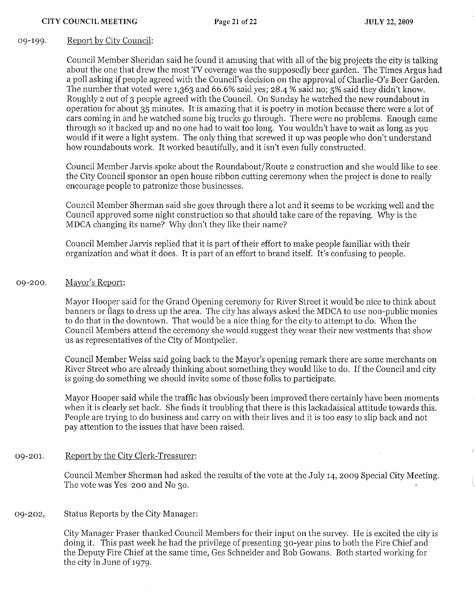### 09-199. Report by City Council:

Council Member Sheridan said he found it amusing that with all of the big projects the city is talking about the one that drew the most TV coverage was the supposedly beer garden. The Times Argus had a poll asking if people agreed with the Council's decision on the approval of Charlie-O's Beer Garden. The number that voted were 1,363 and 66.6% said yes; 28-4 % said no; 5% said they didn't know. Roughly 2 out of 3 people agreed with the Council. On Sunday he watched the new roundabout in operation for about 35 minutes. It is amazing that it is poetry in motion because there were a lot of cars coming in and he watched some big trucks go through. There were no problems. Enough came through so it backed up and no one had to wait too long. You wouldn't have to wait as long as you would if it were a light system. The only thing that screwed it up was people who don't understand how roundabouts work. It worked beautifully, and it isn't even fully constructed.

Council Member Jarvis spoke about the Roundabout/Route 2 construction and she would like to see the City Council sponsor an open house ribbon cutting ceremony when the project is done to really encourage people to patronize those businesses.

Council Member Sherman said she goes through there a lot and it seems to be working well and the Council approved some night construction so that should take care of the repaving. Why is the MDCA changing its name? Why don't they like their name?

Council Member Jarvis replied that it is part of their effort to make people familiar with their organization and what it does. It is part of an effort to brand itself. It's confusing to people.

### 09-200. Mayor's Report:

Mayor Hooper said for the Grand Opening ceremony for River Street it would be nice to think about banners or flags to dress up the area. The city has always asked the MDCA to use non-public monies to do that in the downtown. That would be a nice thing for the city to attempt to do. When the Council Members attend the ceremony she would suggest they wear their new vestments that show us as representatives of the City of Montpelier.

Council Member Weiss said going back to the Mayor's opening remark there are some merchants on River Street who are already thinking about something they would like to do. If the Council and city is going do something we should invite some of those folks to participate.

Mayor Hooper said while the traffic has obviously been improved there certainly have been moments when it is clearly set back. She finds it troubling that there is this lackadaisical attitude towards this. People are trying to do business and canyon with their lives and it is too easy to slip back and not pay attention to the issues that have been raised.

### 09-201. Report by the City Clerk-Treasurer:

Council Member Sherman had asked the results of the vote at the July 14,2009 Special City Meeting. The vote was Yes 200 and No 30.

### 09-202, Status Reports by the City Manager:

City Manager Fraser thanked Council Members for their input on the survey. He is excited the city is doing it. This past week he had the privilege of presenting 30-year pins to both the Fire Chief and the Deputy Fire Chief at the same time, Ges Schneider and Bob Gowans. Both started working for the city in June of 1979.